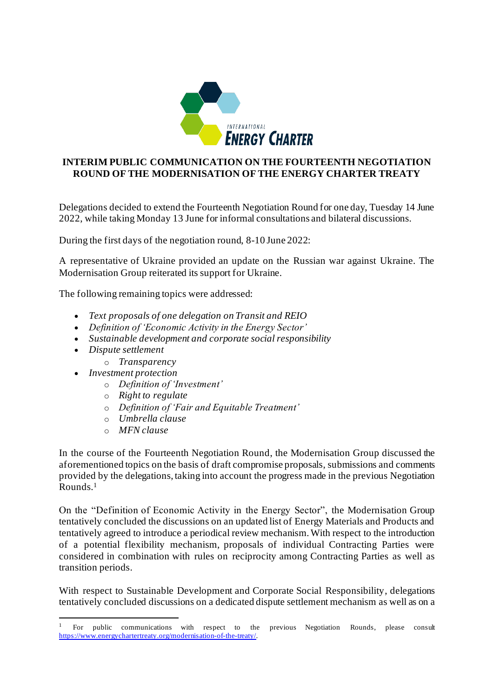

## **INTERIM PUBLIC COMMUNICATION ON THE FOURTEENTH NEGOTIATION ROUND OF THE MODERNISATION OF THE ENERGY CHARTER TREATY**

Delegations decided to extend the Fourteenth Negotiation Round for one day, Tuesday 14 June 2022, while taking Monday 13 June for informal consultations and bilateral discussions.

During the first days of the negotiation round, 8-10 June 2022:

A representative of Ukraine provided an update on the Russian war against Ukraine. The Modernisation Group reiterated its support for Ukraine.

The following remaining topics were addressed:

- *Text proposals of one delegation on Transit and REIO*
- *Definition of 'Economic Activity in the Energy Sector'*
- *Sustainable development and corporate social responsibility*
- *Dispute settlement* 
	- o *Transparency*
- *Investment protection* 
	- o *Definition of 'Investment'*
	- o *Right to regulate*
	- o *Definition of 'Fair and Equitable Treatment'*
	- o *Umbrella clause*
	- o *MFN clause*

In the course of the Fourteenth Negotiation Round, the Modernisation Group discussed the aforementioned topics on the basis of draft compromise proposals, submissions and comments provided by the delegations, taking into account the progress made in the previous Negotiation Rounds. 1

On the "Definition of Economic Activity in the Energy Sector", the Modernisation Group tentatively concluded the discussions on an updated list of Energy Materials and Products and tentatively agreed to introduce a periodical review mechanism. With respect to the introduction of a potential flexibility mechanism, proposals of individual Contracting Parties were considered in combination with rules on reciprocity among Contracting Parties as well as transition periods.

With respect to Sustainable Development and Corporate Social Responsibility, delegations tentatively concluded discussions on a dedicated dispute settlement mechanism as well as on a

<sup>1</sup> For public communications with respect to the previous Negotiation Rounds, please consult <https://www.energychartertreaty.org/modernisation-of-the-treaty/>.